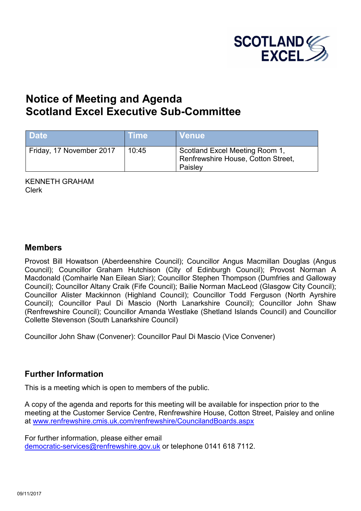

# **Notice of Meeting and Agenda Scotland Excel Executive Sub-Committee**

| <b>Date</b>              | <b>Time</b> | <b>Venue</b>                                                                    |
|--------------------------|-------------|---------------------------------------------------------------------------------|
| Friday, 17 November 2017 | 10:45       | Scotland Excel Meeting Room 1,<br>Renfrewshire House, Cotton Street,<br>Paisley |

KENNETH GRAHAM Clerk

### **Members**

Provost Bill Howatson (Aberdeenshire Council); Councillor Angus Macmillan Douglas (Angus Council); Councillor Graham Hutchison (City of Edinburgh Council); Provost Norman A Macdonald (Comhairle Nan Eilean Siar); Councillor Stephen Thompson (Dumfries and Galloway Council); Councillor Altany Craik (Fife Council); Bailie Norman MacLeod (Glasgow City Council); Councillor Alister Mackinnon (Highland Council); Councillor Todd Ferguson (North Ayrshire Council); Councillor Paul Di Mascio (North Lanarkshire Council); Councillor John Shaw (Renfrewshire Council); Councillor Amanda Westlake (Shetland Islands Council) and Councillor Collette Stevenson (South Lanarkshire Council)

Councillor John Shaw (Convener): Councillor Paul Di Mascio (Vice Convener)

## **Further Information**

This is a meeting which is open to members of the public.

A copy of the agenda and reports for this meeting will be available for inspection prior to the meeting at the Customer Service Centre, Renfrewshire House, Cotton Street, Paisley and online at www.renfrewshire.cmis.uk.com/renfrewshire/CouncilandBoards.aspx

For further information, please either email [democratic-services@renfrewshire.gov.uk](mailto:democratic-services@renfrewshire.gov.uk) or telephone 0141 618 7112.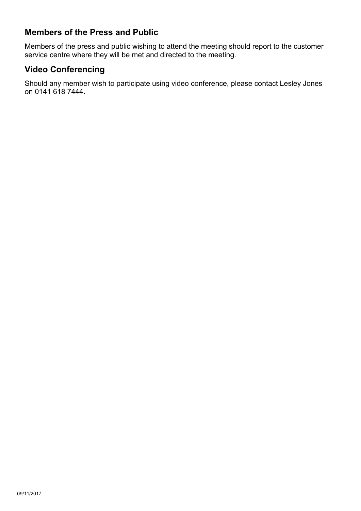## **Members of the Press and Public**

Members of the press and public wishing to attend the meeting should report to the customer service centre where they will be met and directed to the meeting.

## **Video Conferencing**

Should any member wish to participate using video conference, please contact Lesley Jones on 0141 618 7444.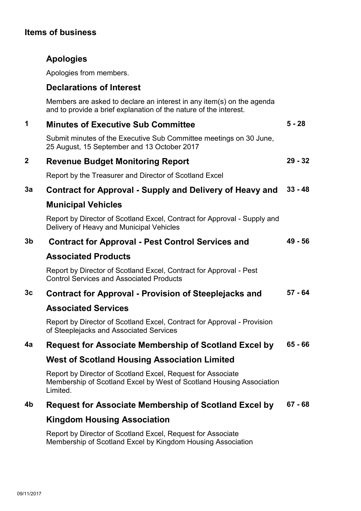### **Items of business**

## **Apologies**

Apologies from members.

### **Declarations of Interest**

Members are asked to declare an interest in any item(s) on the agenda and to provide a brief explanation of the nature of the interest.

| <b>Minutes of Executive Sub Committee</b>                                                                         | $5 - 28$ |
|-------------------------------------------------------------------------------------------------------------------|----------|
| Submit minutes of the Executive Sub Committee meetings on 30 June,<br>25 August, 15 September and 13 October 2017 |          |

#### **2 Revenue Budget Monitoring Report 29 - 32**

Report by the Treasurer and Director of Scotland Excel

#### **3a Contract for Approval - Supply and Delivery of Heavy and 33 - 48**

### **Municipal Vehicles**

Report by Director of Scotland Excel, Contract for Approval - Supply and Delivery of Heavy and Municipal Vehicles

#### **3b Contract for Approval - Pest Control Services and 49 - 56**

### **Associated Products**

Report by Director of Scotland Excel, Contract for Approval - Pest Control Services and Associated Products

#### **3c Contract for Approval - Provision of Steeplejacks and 57 - 64**

### **Associated Services**

Report by Director of Scotland Excel, Contract for Approval - Provision of Steeplejacks and Associated Services

#### **4a Request for Associate Membership of Scotland Excel by 65 - 66**

### **West of Scotland Housing Association Limited**

Report by Director of Scotland Excel, Request for Associate Membership of Scotland Excel by West of Scotland Housing Association Limited.

#### **4b Request for Associate Membership of Scotland Excel by 67 - 68**

## **Kingdom Housing Association**

Report by Director of Scotland Excel, Request for Associate Membership of Scotland Excel by Kingdom Housing Association